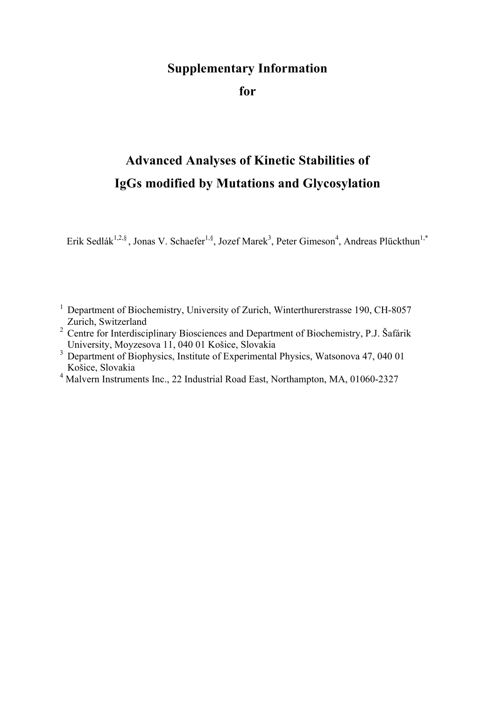## **Supplementary Information**

**for**

## **Advanced Analyses of Kinetic Stabilities of IgGs modified by Mutations and Glycosylation**

Erik Sedlák<sup>1,2,§</sup>, Jonas V. Schaefer<sup>1,§</sup>, Jozef Marek<sup>3</sup>, Peter Gimeson<sup>4</sup>, Andreas Plückthun<sup>1,\*</sup>

- <sup>1</sup> Department of Biochemistry, University of Zurich, Winterthurerstrasse 190, CH-8057 Zurich, Switzerland
- <sup>2</sup> Centre for Interdisciplinary Biosciences and Department of Biochemistry, P.J. Šafárik University, Moyzesova 11, 040 01 Košice, Slovakia
- <sup>3</sup> Department of Biophysics, Institute of Experimental Physics, Watsonova 47, 040 01 Košice, Slovakia
- <sup>4</sup> Malvern Instruments Inc., 22 Industrial Road East, Northampton, MA, 01060-2327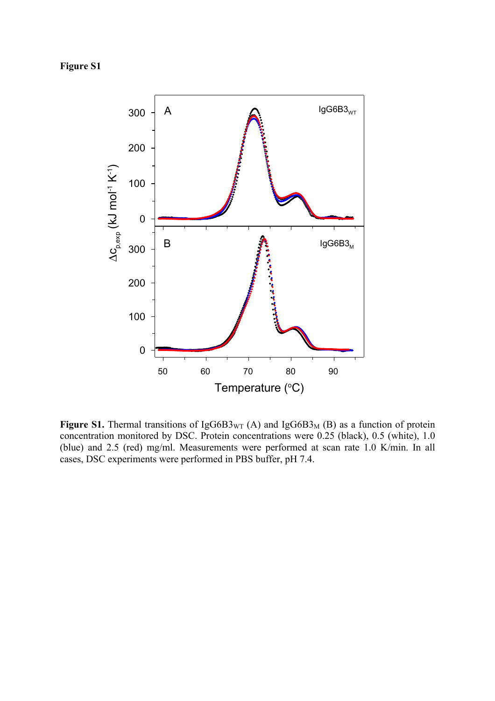**Figure S1**



**Figure S1.** Thermal transitions of IgG6B3 $_{\text{WT}}$  (A) and IgG6B3<sub>M</sub> (B) as a function of protein concentration monitored by DSC. Protein concentrations were 0.25 (black), 0.5 (white), 1.0 (blue) and 2.5 (red) mg/ml. Measurements were performed at scan rate 1.0 K/min. In all cases, DSC experiments were performed in PBS buffer, pH 7.4.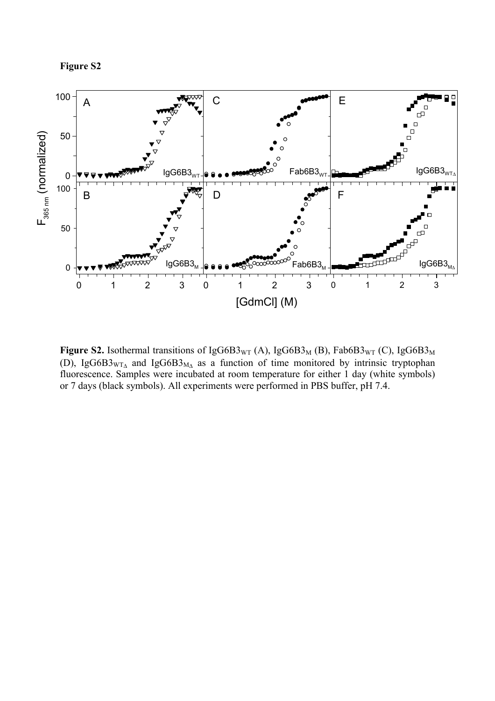**Figure S2**



**Figure S2.** Isothermal transitions of IgG6B3<sub>WT</sub> (A), IgG6B3<sub>M</sub> (B), Fab6B3<sub>WT</sub> (C), IgG6B3<sub>M</sub> (D), IgG6B3<sub>WT $\Delta$ </sub> and IgG6B3<sub>M $\Delta$ </sub> as a function of time monitored by intrinsic tryptophan fluorescence. Samples were incubated at room temperature for either 1 day (white symbols) or 7 days (black symbols). All experiments were performed in PBS buffer, pH 7.4.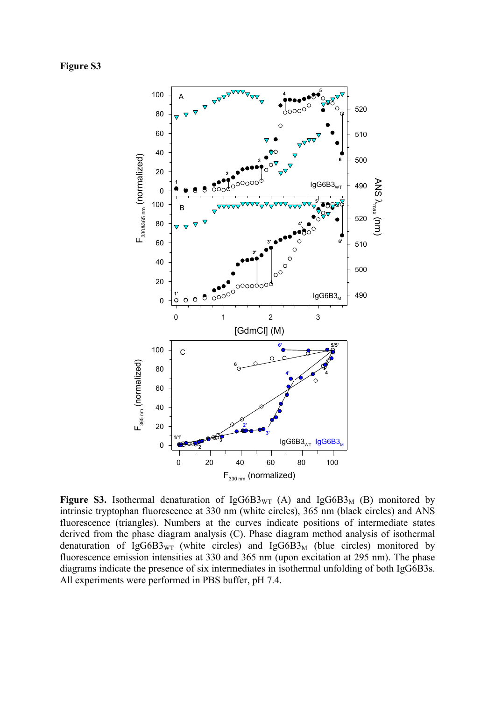**Figure S3**



**Figure S3.** Isothermal denaturation of  $IgG6B3_{\text{WT}}$  (A) and  $IgG6B3_{\text{M}}$  (B) monitored by intrinsic tryptophan fluorescence at 330 nm (white circles), 365 nm (black circles) and ANS fluorescence (triangles). Numbers at the curves indicate positions of intermediate states derived from the phase diagram analysis (C). Phase diagram method analysis of isothermal denaturation of IgG6B3<sub>WT</sub> (white circles) and IgG6B3<sub>M</sub> (blue circles) monitored by fluorescence emission intensities at 330 and 365 nm (upon excitation at 295 nm). The phase diagrams indicate the presence of six intermediates in isothermal unfolding of both IgG6B3s. All experiments were performed in PBS buffer, pH 7.4.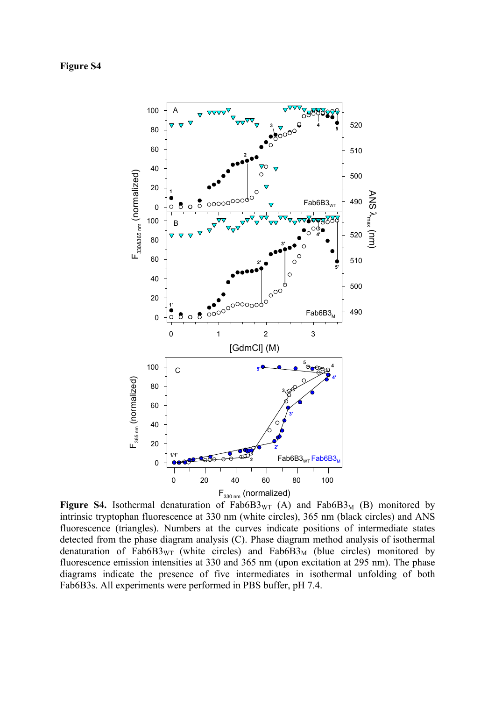## **Figure S4**



**Figure S4.** Isothermal denaturation of  $Fab6B3_{\rm WT}$  (A) and  $Fab6B3_{\rm M}$  (B) monitored by intrinsic tryptophan fluorescence at 330 nm (white circles), 365 nm (black circles) and ANS fluorescence (triangles). Numbers at the curves indicate positions of intermediate states detected from the phase diagram analysis (C). Phase diagram method analysis of isothermal denaturation of Fab $6B3_{\text{WT}}$  (white circles) and Fab $6B3_{\text{M}}$  (blue circles) monitored by fluorescence emission intensities at 330 and 365 nm (upon excitation at 295 nm). The phase diagrams indicate the presence of five intermediates in isothermal unfolding of both Fab6B3s. All experiments were performed in PBS buffer, pH 7.4.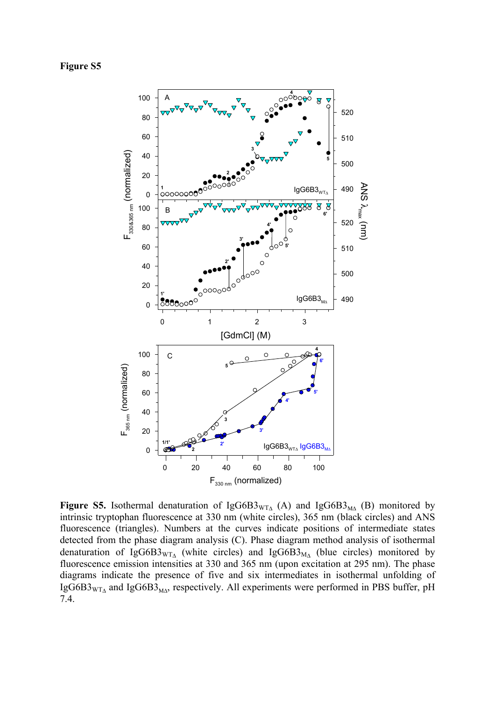## **Figure S5**



**Figure S5.** Isothermal denaturation of IgG6B3 $_{\text{WTA}}$  (A) and IgG6B3<sub>MA</sub> (B) monitored by intrinsic tryptophan fluorescence at 330 nm (white circles), 365 nm (black circles) and ANS fluorescence (triangles). Numbers at the curves indicate positions of intermediate states detected from the phase diagram analysis (C). Phase diagram method analysis of isothermal denaturation of IgG6B3<sub>WTA</sub> (white circles) and IgG6B3<sub>MA</sub> (blue circles) monitored by fluorescence emission intensities at 330 and 365 nm (upon excitation at 295 nm). The phase diagrams indicate the presence of five and six intermediates in isothermal unfolding of IgG6B3 $_{\text{WT}_{\Delta}}$  and IgG6B3<sub>M $_{\text{MA}}$ </sub>, respectively. All experiments were performed in PBS buffer, pH 7.4.